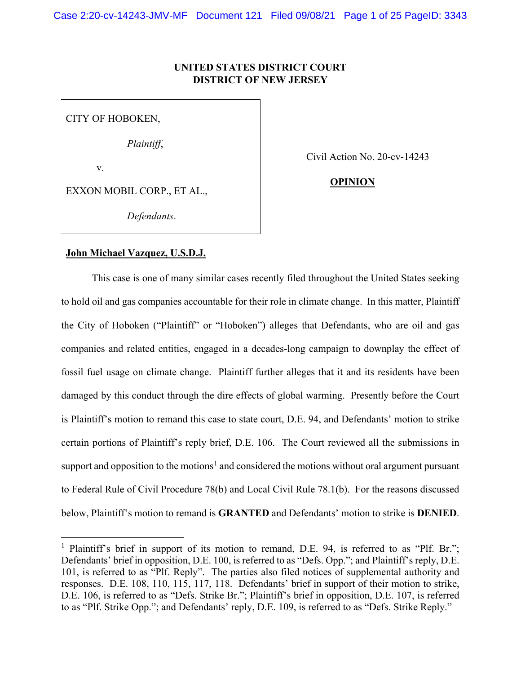## **UNITED STATES DISTRICT COURT DISTRICT OF NEW JERSEY**

CITY OF HOBOKEN,

*Plaintiff*,

v.

Civil Action No. 20-cv-14243

# **OPINION**

EXXON MOBIL CORP., ET AL.,

*Defendants*.

## **John Michael Vazquez, U.S.D.J.**

This case is one of many similar cases recently filed throughout the United States seeking to hold oil and gas companies accountable for their role in climate change. In this matter, Plaintiff the City of Hoboken ("Plaintiff" or "Hoboken") alleges that Defendants, who are oil and gas companies and related entities, engaged in a decades-long campaign to downplay the effect of fossil fuel usage on climate change. Plaintiff further alleges that it and its residents have been damaged by this conduct through the dire effects of global warming. Presently before the Court is Plaintiff's motion to remand this case to state court, D.E. 94, and Defendants' motion to strike certain portions of Plaintiff's reply brief, D.E. 106. The Court reviewed all the submissions in support and opposition to the motions<sup>[1](#page-0-0)</sup> and considered the motions without oral argument pursuant to Federal Rule of Civil Procedure 78(b) and Local Civil Rule 78.1(b). For the reasons discussed below, Plaintiff's motion to remand is **GRANTED** and Defendants' motion to strike is **DENIED**.

<span id="page-0-0"></span><sup>&</sup>lt;sup>1</sup> Plaintiff's brief in support of its motion to remand, D.E. 94, is referred to as "Plf. Br."; Defendants' brief in opposition, D.E. 100, is referred to as "Defs. Opp."; and Plaintiff's reply, D.E. 101, is referred to as "Plf. Reply". The parties also filed notices of supplemental authority and responses. D.E. 108, 110, 115, 117, 118. Defendants' brief in support of their motion to strike, D.E. 106, is referred to as "Defs. Strike Br."; Plaintiff's brief in opposition, D.E. 107, is referred to as "Plf. Strike Opp."; and Defendants' reply, D.E. 109, is referred to as "Defs. Strike Reply."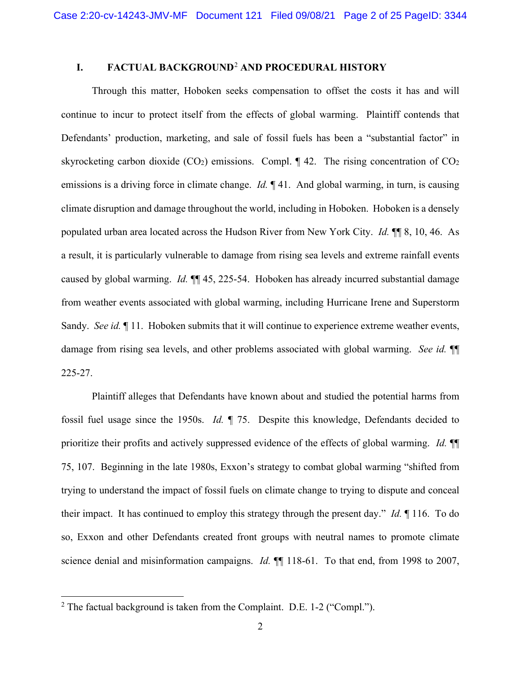## **I. FACTUAL BACKGROUND**[2](#page-1-0) **AND PROCEDURAL HISTORY**

Through this matter, Hoboken seeks compensation to offset the costs it has and will continue to incur to protect itself from the effects of global warming. Plaintiff contends that Defendants' production, marketing, and sale of fossil fuels has been a "substantial factor" in skyrocketing carbon dioxide (CO<sub>2</sub>) emissions. Compl.  $\P$  42. The rising concentration of CO<sub>2</sub> emissions is a driving force in climate change. *Id.* ¶ 41. And global warming, in turn, is causing climate disruption and damage throughout the world, including in Hoboken. Hoboken is a densely populated urban area located across the Hudson River from New York City. *Id.* ¶¶ 8, 10, 46. As a result, it is particularly vulnerable to damage from rising sea levels and extreme rainfall events caused by global warming. *Id.* ¶¶ 45, 225-54. Hoboken has already incurred substantial damage from weather events associated with global warming, including Hurricane Irene and Superstorm Sandy. *See id.* ¶ 11. Hoboken submits that it will continue to experience extreme weather events, damage from rising sea levels, and other problems associated with global warming. *See id.* ¶¶ 225-27.

Plaintiff alleges that Defendants have known about and studied the potential harms from fossil fuel usage since the 1950s. *Id.* ¶ 75. Despite this knowledge, Defendants decided to prioritize their profits and actively suppressed evidence of the effects of global warming. *Id.* ¶¶ 75, 107. Beginning in the late 1980s, Exxon's strategy to combat global warming "shifted from trying to understand the impact of fossil fuels on climate change to trying to dispute and conceal their impact. It has continued to employ this strategy through the present day." *Id.* ¶ 116. To do so, Exxon and other Defendants created front groups with neutral names to promote climate science denial and misinformation campaigns. *Id.* ¶¶ 118-61. To that end, from 1998 to 2007,

<span id="page-1-0"></span> $2$  The factual background is taken from the Complaint. D.E. 1-2 ("Compl.").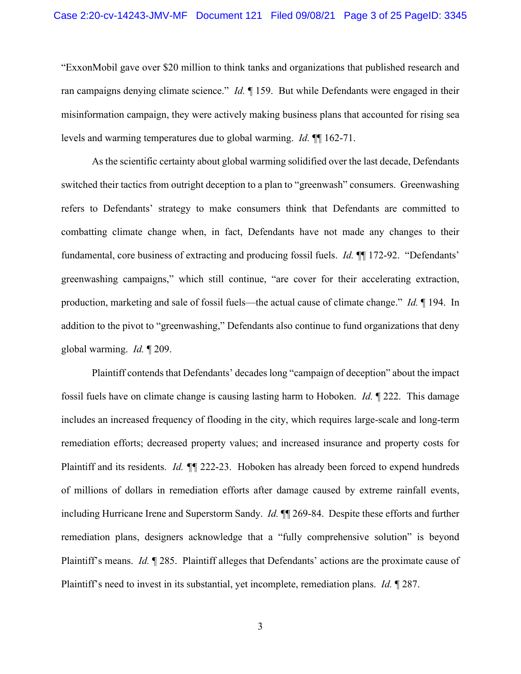"ExxonMobil gave over \$20 million to think tanks and organizations that published research and ran campaigns denying climate science." *Id.* ¶ 159. But while Defendants were engaged in their misinformation campaign, they were actively making business plans that accounted for rising sea levels and warming temperatures due to global warming. *Id.* ¶¶ 162-71.

As the scientific certainty about global warming solidified over the last decade, Defendants switched their tactics from outright deception to a plan to "greenwash" consumers. Greenwashing refers to Defendants' strategy to make consumers think that Defendants are committed to combatting climate change when, in fact, Defendants have not made any changes to their fundamental, core business of extracting and producing fossil fuels. *Id.* ¶¶ 172-92. "Defendants' greenwashing campaigns," which still continue, "are cover for their accelerating extraction, production, marketing and sale of fossil fuels—the actual cause of climate change." *Id.* ¶ 194. In addition to the pivot to "greenwashing," Defendants also continue to fund organizations that deny global warming. *Id.* ¶ 209.

Plaintiff contends that Defendants' decades long "campaign of deception" about the impact fossil fuels have on climate change is causing lasting harm to Hoboken. *Id.* ¶ 222. This damage includes an increased frequency of flooding in the city, which requires large-scale and long-term remediation efforts; decreased property values; and increased insurance and property costs for Plaintiff and its residents. *Id. ¶¶* 222-23. Hoboken has already been forced to expend hundreds of millions of dollars in remediation efforts after damage caused by extreme rainfall events, including Hurricane Irene and Superstorm Sandy. *Id.* ¶¶ 269-84. Despite these efforts and further remediation plans, designers acknowledge that a "fully comprehensive solution" is beyond Plaintiff's means. *Id.* ¶ 285. Plaintiff alleges that Defendants' actions are the proximate cause of Plaintiff's need to invest in its substantial, yet incomplete, remediation plans. *Id.* ¶ 287.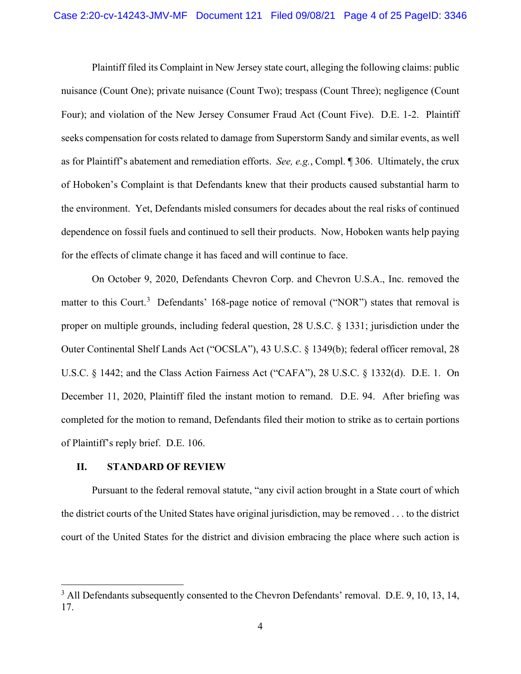Plaintiff filed its Complaint in New Jersey state court, alleging the following claims: public nuisance (Count One); private nuisance (Count Two); trespass (Count Three); negligence (Count Four); and violation of the New Jersey Consumer Fraud Act (Count Five). D.E. 1-2. Plaintiff seeks compensation for costs related to damage from Superstorm Sandy and similar events, as well as for Plaintiff's abatement and remediation efforts. *See, e.g.*, Compl. ¶ 306. Ultimately, the crux of Hoboken's Complaint is that Defendants knew that their products caused substantial harm to the environment. Yet, Defendants misled consumers for decades about the real risks of continued dependence on fossil fuels and continued to sell their products. Now, Hoboken wants help paying for the effects of climate change it has faced and will continue to face.

On October 9, 2020, Defendants Chevron Corp. and Chevron U.S.A., Inc. removed the matter to this Court.<sup>[3](#page-3-0)</sup> Defendants' 168-page notice of removal ("NOR") states that removal is proper on multiple grounds, including federal question, 28 U.S.C. § 1331; jurisdiction under the Outer Continental Shelf Lands Act ("OCSLA"), 43 U.S.C. § 1349(b); federal officer removal, 28 U.S.C. § 1442; and the Class Action Fairness Act ("CAFA"), 28 U.S.C. § 1332(d). D.E. 1. On December 11, 2020, Plaintiff filed the instant motion to remand. D.E. 94. After briefing was completed for the motion to remand, Defendants filed their motion to strike as to certain portions of Plaintiff's reply brief. D.E. 106.

## **II. STANDARD OF REVIEW**

Pursuant to the federal removal statute, "any civil action brought in a State court of which the district courts of the United States have original jurisdiction, may be removed . . . to the district court of the United States for the district and division embracing the place where such action is

<span id="page-3-0"></span><sup>&</sup>lt;sup>3</sup> All Defendants subsequently consented to the Chevron Defendants' removal. D.E. 9, 10, 13, 14, 17.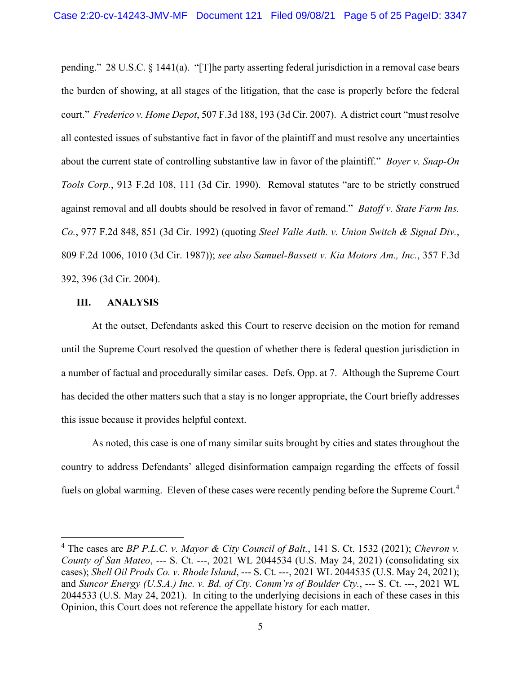pending." 28 U.S.C. § 1441(a). "[T]he party asserting federal jurisdiction in a removal case bears the burden of showing, at all stages of the litigation, that the case is properly before the federal court." *Frederico v. Home Depot*, 507 F.3d 188, 193 (3d Cir. 2007). A district court "must resolve all contested issues of substantive fact in favor of the plaintiff and must resolve any uncertainties about the current state of controlling substantive law in favor of the plaintiff." *Boyer v. Snap-On Tools Corp.*, 913 F.2d 108, 111 (3d Cir. 1990). Removal statutes "are to be strictly construed against removal and all doubts should be resolved in favor of remand." *Batoff v. State Farm Ins. Co.*, 977 F.2d 848, 851 (3d Cir. 1992) (quoting *Steel Valle Auth. v. Union Switch & Signal Div.*, 809 F.2d 1006, 1010 (3d Cir. 1987)); *see also Samuel-Bassett v. Kia Motors Am., Inc.*, 357 F.3d 392, 396 (3d Cir. 2004).

## **III. ANALYSIS**

At the outset, Defendants asked this Court to reserve decision on the motion for remand until the Supreme Court resolved the question of whether there is federal question jurisdiction in a number of factual and procedurally similar cases. Defs. Opp. at 7. Although the Supreme Court has decided the other matters such that a stay is no longer appropriate, the Court briefly addresses this issue because it provides helpful context.

As noted, this case is one of many similar suits brought by cities and states throughout the country to address Defendants' alleged disinformation campaign regarding the effects of fossil fuels on global warming. Eleven of these cases were recently pending before the Supreme Court.<sup>[4](#page-4-0)</sup>

<span id="page-4-0"></span><sup>4</sup> The cases are *BP P.L.C. v. Mayor & City Council of Balt.*, 141 S. Ct. 1532 (2021); *Chevron v. County of San Mateo*, --- S. Ct. ---, 2021 WL 2044534 (U.S. May 24, 2021) (consolidating six cases); *Shell Oil Prods Co. v. Rhode Island*, --- S. Ct. ---, 2021 WL 2044535 (U.S. May 24, 2021); and *Suncor Energy (U.S.A.) Inc. v. Bd. of Cty. Comm'rs of Boulder Cty.*, --- S. Ct. ---, 2021 WL 2044533 (U.S. May 24, 2021). In citing to the underlying decisions in each of these cases in this Opinion, this Court does not reference the appellate history for each matter.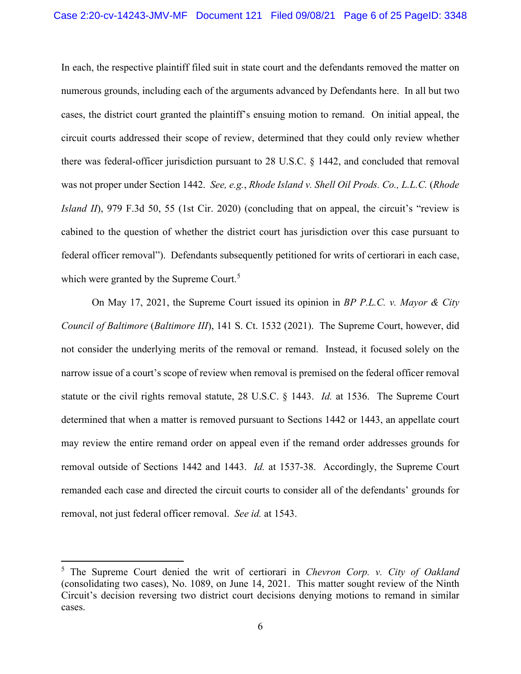In each, the respective plaintiff filed suit in state court and the defendants removed the matter on numerous grounds, including each of the arguments advanced by Defendants here. In all but two cases, the district court granted the plaintiff's ensuing motion to remand. On initial appeal, the circuit courts addressed their scope of review, determined that they could only review whether there was federal-officer jurisdiction pursuant to 28 U.S.C. § 1442, and concluded that removal was not proper under Section 1442. *See, e.g.*, *Rhode Island v. Shell Oil Prods. Co., L.L.C.* (*Rhode Island II*), 979 F.3d 50, 55 (1st Cir. 2020) (concluding that on appeal, the circuit's "review is cabined to the question of whether the district court has jurisdiction over this case pursuant to federal officer removal"). Defendants subsequently petitioned for writs of certiorari in each case, which were granted by the Supreme Court.<sup>[5](#page-5-0)</sup>

On May 17, 2021, the Supreme Court issued its opinion in *BP P.L.C. v. Mayor & City Council of Baltimore* (*Baltimore III*), 141 S. Ct. 1532 (2021). The Supreme Court, however, did not consider the underlying merits of the removal or remand. Instead, it focused solely on the narrow issue of a court's scope of review when removal is premised on the federal officer removal statute or the civil rights removal statute, 28 U.S.C. § 1443. *Id.* at 1536. The Supreme Court determined that when a matter is removed pursuant to Sections 1442 or 1443, an appellate court may review the entire remand order on appeal even if the remand order addresses grounds for removal outside of Sections 1442 and 1443. *Id.* at 1537-38. Accordingly, the Supreme Court remanded each case and directed the circuit courts to consider all of the defendants' grounds for removal, not just federal officer removal. *See id.* at 1543.

<span id="page-5-0"></span><sup>5</sup> The Supreme Court denied the writ of certiorari in *Chevron Corp. v. City of Oakland* (consolidating two cases), No. 1089, on June 14, 2021. This matter sought review of the Ninth Circuit's decision reversing two district court decisions denying motions to remand in similar cases.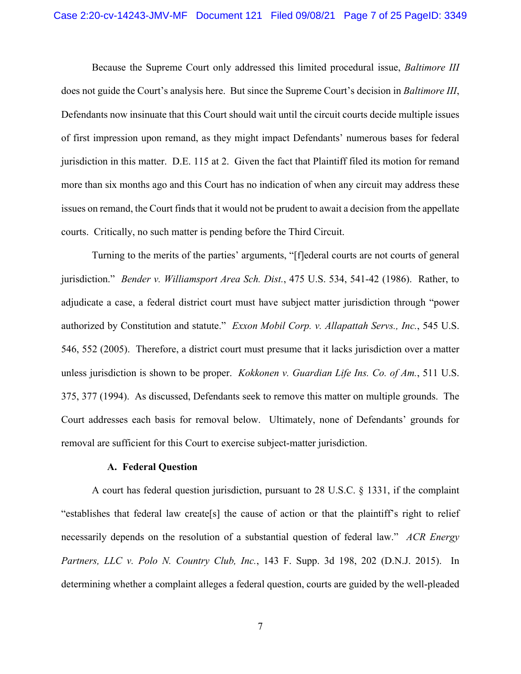Because the Supreme Court only addressed this limited procedural issue, *Baltimore III* does not guide the Court's analysis here. But since the Supreme Court's decision in *Baltimore III*, Defendants now insinuate that this Court should wait until the circuit courts decide multiple issues of first impression upon remand, as they might impact Defendants' numerous bases for federal jurisdiction in this matter. D.E. 115 at 2. Given the fact that Plaintiff filed its motion for remand more than six months ago and this Court has no indication of when any circuit may address these issues on remand, the Court finds that it would not be prudent to await a decision from the appellate courts. Critically, no such matter is pending before the Third Circuit.

Turning to the merits of the parties' arguments, "[f]ederal courts are not courts of general jurisdiction." *Bender v. Williamsport Area Sch. Dist.*, 475 U.S. 534, 541-42 (1986). Rather, to adjudicate a case, a federal district court must have subject matter jurisdiction through "power authorized by Constitution and statute." *Exxon Mobil Corp. v. Allapattah Servs., Inc.*, 545 U.S. 546, 552 (2005). Therefore, a district court must presume that it lacks jurisdiction over a matter unless jurisdiction is shown to be proper. *Kokkonen v. Guardian Life Ins. Co. of Am.*, 511 U.S. 375, 377 (1994). As discussed, Defendants seek to remove this matter on multiple grounds. The Court addresses each basis for removal below. Ultimately, none of Defendants' grounds for removal are sufficient for this Court to exercise subject-matter jurisdiction.

## **A. Federal Question**

A court has federal question jurisdiction, pursuant to 28 U.S.C. § 1331, if the complaint "establishes that federal law create[s] the cause of action or that the plaintiff's right to relief necessarily depends on the resolution of a substantial question of federal law." *ACR Energy Partners, LLC v. Polo N. Country Club, Inc.*, 143 F. Supp. 3d 198, 202 (D.N.J. 2015). In determining whether a complaint alleges a federal question, courts are guided by the well-pleaded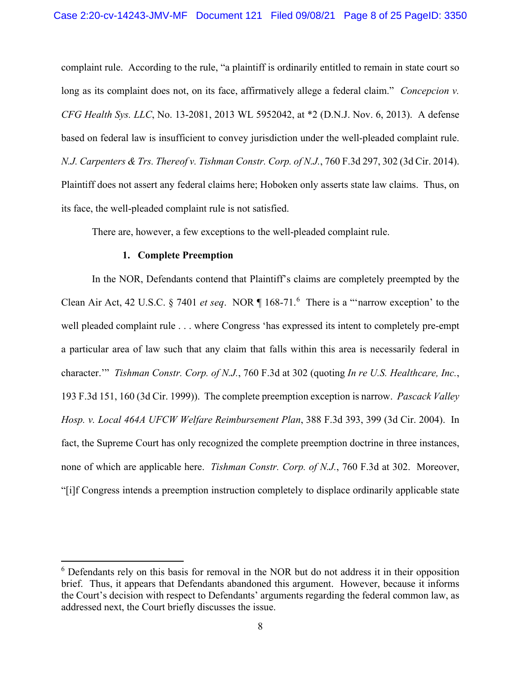complaint rule. According to the rule, "a plaintiff is ordinarily entitled to remain in state court so long as its complaint does not, on its face, affirmatively allege a federal claim." *Concepcion v. CFG Health Sys. LLC*, No. 13-2081, 2013 WL 5952042, at \*2 (D.N.J. Nov. 6, 2013). A defense based on federal law is insufficient to convey jurisdiction under the well-pleaded complaint rule. *N.J. Carpenters & Trs. Thereof v. Tishman Constr. Corp. of N.J.*, 760 F.3d 297, 302 (3d Cir. 2014). Plaintiff does not assert any federal claims here; Hoboken only asserts state law claims. Thus, on its face, the well-pleaded complaint rule is not satisfied.

There are, however, a few exceptions to the well-pleaded complaint rule.

## **1. Complete Preemption**

In the NOR, Defendants contend that Plaintiff's claims are completely preempted by the Clean Air Act, 42 U.S.C. § 7401 *et seq*. NOR ¶ 168-71.[6](#page-7-0) There is a "'narrow exception' to the well pleaded complaint rule . . . where Congress 'has expressed its intent to completely pre-empt a particular area of law such that any claim that falls within this area is necessarily federal in character.'" *Tishman Constr. Corp. of N.J.*, 760 F.3d at 302 (quoting *In re U.S. Healthcare, Inc.*, 193 F.3d 151, 160 (3d Cir. 1999)). The complete preemption exception is narrow. *Pascack Valley Hosp. v. Local 464A UFCW Welfare Reimbursement Plan*, 388 F.3d 393, 399 (3d Cir. 2004). In fact, the Supreme Court has only recognized the complete preemption doctrine in three instances, none of which are applicable here. *Tishman Constr. Corp. of N.J.*, 760 F.3d at 302. Moreover, "[i]f Congress intends a preemption instruction completely to displace ordinarily applicable state

<span id="page-7-0"></span><sup>&</sup>lt;sup>6</sup> Defendants rely on this basis for removal in the NOR but do not address it in their opposition brief. Thus, it appears that Defendants abandoned this argument. However, because it informs the Court's decision with respect to Defendants' arguments regarding the federal common law, as addressed next, the Court briefly discusses the issue.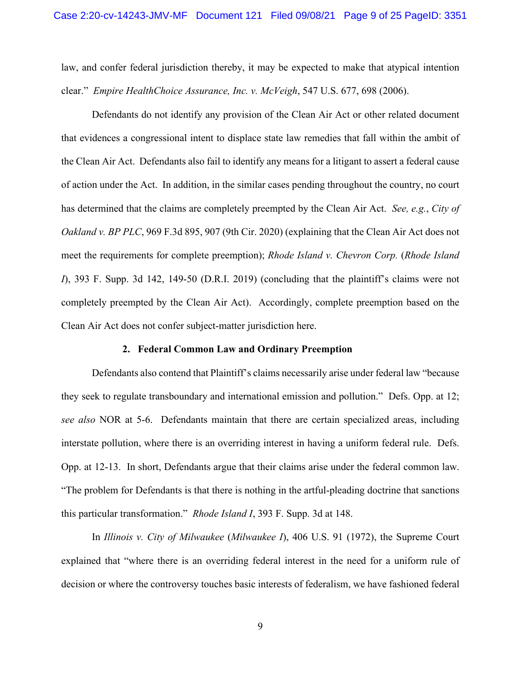law, and confer federal jurisdiction thereby, it may be expected to make that atypical intention clear." *Empire HealthChoice Assurance, Inc. v. McVeigh*, 547 U.S. 677, 698 (2006).

Defendants do not identify any provision of the Clean Air Act or other related document that evidences a congressional intent to displace state law remedies that fall within the ambit of the Clean Air Act. Defendants also fail to identify any means for a litigant to assert a federal cause of action under the Act. In addition, in the similar cases pending throughout the country, no court has determined that the claims are completely preempted by the Clean Air Act. *See, e.g.*, *City of Oakland v. BP PLC*, 969 F.3d 895, 907 (9th Cir. 2020) (explaining that the Clean Air Act does not meet the requirements for complete preemption); *Rhode Island v. Chevron Corp.* (*Rhode Island I*), 393 F. Supp. 3d 142, 149-50 (D.R.I. 2019) (concluding that the plaintiff's claims were not completely preempted by the Clean Air Act). Accordingly, complete preemption based on the Clean Air Act does not confer subject-matter jurisdiction here.

#### **2. Federal Common Law and Ordinary Preemption**

Defendants also contend that Plaintiff's claims necessarily arise under federal law "because they seek to regulate transboundary and international emission and pollution." Defs. Opp. at 12; *see also* NOR at 5-6. Defendants maintain that there are certain specialized areas, including interstate pollution, where there is an overriding interest in having a uniform federal rule. Defs. Opp. at 12-13. In short, Defendants argue that their claims arise under the federal common law. "The problem for Defendants is that there is nothing in the artful-pleading doctrine that sanctions this particular transformation." *Rhode Island I*, 393 F. Supp. 3d at 148.

In *Illinois v. City of Milwaukee* (*Milwaukee I*), 406 U.S. 91 (1972), the Supreme Court explained that "where there is an overriding federal interest in the need for a uniform rule of decision or where the controversy touches basic interests of federalism, we have fashioned federal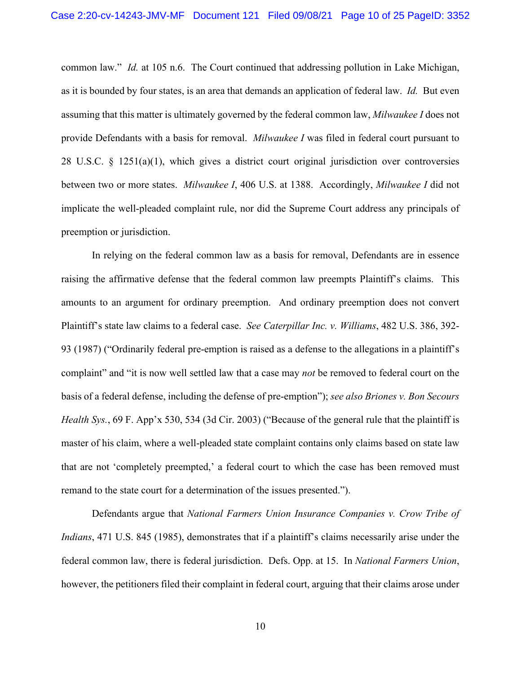common law." *Id.* at 105 n.6. The Court continued that addressing pollution in Lake Michigan, as it is bounded by four states, is an area that demands an application of federal law. *Id.* But even assuming that this matter is ultimately governed by the federal common law, *Milwaukee I* does not provide Defendants with a basis for removal. *Milwaukee I* was filed in federal court pursuant to 28 U.S.C. § 1251(a)(1), which gives a district court original jurisdiction over controversies between two or more states. *Milwaukee I*, 406 U.S. at 1388. Accordingly, *Milwaukee I* did not implicate the well-pleaded complaint rule, nor did the Supreme Court address any principals of preemption or jurisdiction.

In relying on the federal common law as a basis for removal, Defendants are in essence raising the affirmative defense that the federal common law preempts Plaintiff's claims. This amounts to an argument for ordinary preemption. And ordinary preemption does not convert Plaintiff's state law claims to a federal case. *See Caterpillar Inc. v. Williams*, 482 U.S. 386, 392- 93 (1987) ("Ordinarily federal pre-emption is raised as a defense to the allegations in a plaintiff's complaint" and "it is now well settled law that a case may *not* be removed to federal court on the basis of a federal defense, including the defense of pre-emption"); *see also Briones v. Bon Secours Health Sys.*, 69 F. App'x 530, 534 (3d Cir. 2003) ("Because of the general rule that the plaintiff is master of his claim, where a well-pleaded state complaint contains only claims based on state law that are not 'completely preempted,' a federal court to which the case has been removed must remand to the state court for a determination of the issues presented.").

Defendants argue that *National Farmers Union Insurance Companies v. Crow Tribe of Indians*, 471 U.S. 845 (1985), demonstrates that if a plaintiff's claims necessarily arise under the federal common law, there is federal jurisdiction. Defs. Opp. at 15. In *National Farmers Union*, however, the petitioners filed their complaint in federal court, arguing that their claims arose under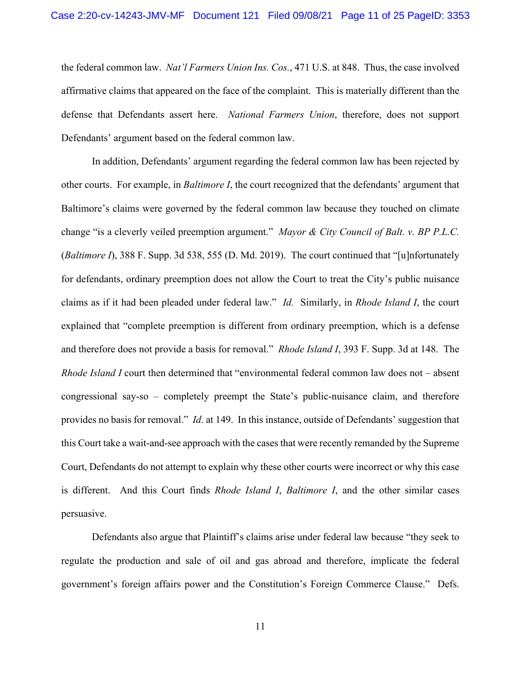the federal common law. *Nat'l Farmers Union Ins. Cos.*, 471 U.S. at 848. Thus, the case involved affirmative claims that appeared on the face of the complaint. This is materially different than the defense that Defendants assert here. *National Farmers Union*, therefore, does not support Defendants' argument based on the federal common law.

In addition, Defendants' argument regarding the federal common law has been rejected by other courts. For example, in *Baltimore I*, the court recognized that the defendants' argument that Baltimore's claims were governed by the federal common law because they touched on climate change "is a cleverly veiled preemption argument." *Mayor & City Council of Balt. v. BP P.L.C.* (*Baltimore I*), 388 F. Supp. 3d 538, 555 (D. Md. 2019). The court continued that "[u]nfortunately for defendants, ordinary preemption does not allow the Court to treat the City's public nuisance claims as if it had been pleaded under federal law." *Id.* Similarly, in *Rhode Island I*, the court explained that "complete preemption is different from ordinary preemption, which is a defense and therefore does not provide a basis for removal." *Rhode Island I*, 393 F. Supp. 3d at 148. The *Rhode Island I* court then determined that "environmental federal common law does not – absent congressional say-so – completely preempt the State's public-nuisance claim, and therefore provides no basis for removal." *Id.* at 149. In this instance, outside of Defendants' suggestion that this Court take a wait-and-see approach with the casesthat were recently remanded by the Supreme Court, Defendants do not attempt to explain why these other courts were incorrect or why this case is different. And this Court finds *Rhode Island I*, *Baltimore I*, and the other similar cases persuasive.

Defendants also argue that Plaintiff's claims arise under federal law because "they seek to regulate the production and sale of oil and gas abroad and therefore, implicate the federal government's foreign affairs power and the Constitution's Foreign Commerce Clause." Defs.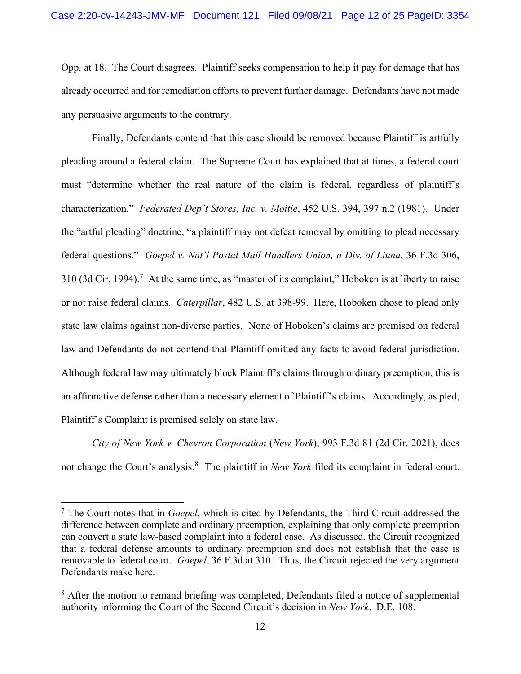Opp. at 18. The Court disagrees. Plaintiff seeks compensation to help it pay for damage that has already occurred and for remediation efforts to prevent further damage. Defendants have not made any persuasive arguments to the contrary.

Finally, Defendants contend that this case should be removed because Plaintiff is artfully pleading around a federal claim. The Supreme Court has explained that at times, a federal court must "determine whether the real nature of the claim is federal, regardless of plaintiff's characterization." *Federated Dep't Stores, Inc. v. Moitie*, 452 U.S. 394, 397 n.2 (1981). Under the "artful pleading" doctrine, "a plaintiff may not defeat removal by omitting to plead necessary federal questions." *Goepel v. Nat'l Postal Mail Handlers Union, a Div. of Liuna*, 36 F.3d 306, 310 (3d Cir. 1994).<sup>[7](#page-11-0)</sup> At the same time, as "master of its complaint," Hoboken is at liberty to raise or not raise federal claims. *Caterpillar*, 482 U.S. at 398-99. Here, Hoboken chose to plead only state law claims against non-diverse parties. None of Hoboken's claims are premised on federal law and Defendants do not contend that Plaintiff omitted any facts to avoid federal jurisdiction. Although federal law may ultimately block Plaintiff's claims through ordinary preemption, this is an affirmative defense rather than a necessary element of Plaintiff's claims. Accordingly, as pled, Plaintiff's Complaint is premised solely on state law.

*City of New York v. Chevron Corporation* (*New York*), 993 F.3d 81 (2d Cir. 2021), does not change the Court's analysis.<sup>[8](#page-11-1)</sup> The plaintiff in *New York* filed its complaint in federal court.

<span id="page-11-0"></span><sup>7</sup> The Court notes that in *Goepel*, which is cited by Defendants, the Third Circuit addressed the difference between complete and ordinary preemption, explaining that only complete preemption can convert a state law-based complaint into a federal case. As discussed, the Circuit recognized that a federal defense amounts to ordinary preemption and does not establish that the case is removable to federal court. *Goepel*, 36 F.3d at 310. Thus, the Circuit rejected the very argument Defendants make here.

<span id="page-11-1"></span><sup>&</sup>lt;sup>8</sup> After the motion to remand briefing was completed, Defendants filed a notice of supplemental authority informing the Court of the Second Circuit's decision in *New York*. D.E. 108.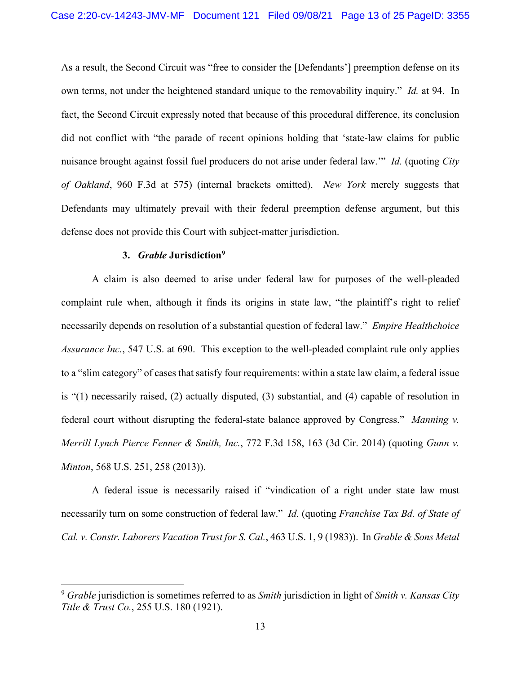As a result, the Second Circuit was "free to consider the [Defendants'] preemption defense on its own terms, not under the heightened standard unique to the removability inquiry." *Id.* at 94. In fact, the Second Circuit expressly noted that because of this procedural difference, its conclusion did not conflict with "the parade of recent opinions holding that 'state-law claims for public nuisance brought against fossil fuel producers do not arise under federal law.'" *Id.* (quoting *City of Oakland*, 960 F.3d at 575) (internal brackets omitted). *New York* merely suggests that Defendants may ultimately prevail with their federal preemption defense argument, but this defense does not provide this Court with subject-matter jurisdiction.

## **3.** *Grable* **Jurisdiction[9](#page-12-0)**

A claim is also deemed to arise under federal law for purposes of the well-pleaded complaint rule when, although it finds its origins in state law, "the plaintiff's right to relief necessarily depends on resolution of a substantial question of federal law." *Empire Healthchoice Assurance Inc.*, 547 U.S. at 690. This exception to the well-pleaded complaint rule only applies to a "slim category" of cases that satisfy four requirements: within a state law claim, a federal issue is "(1) necessarily raised, (2) actually disputed, (3) substantial, and (4) capable of resolution in federal court without disrupting the federal-state balance approved by Congress." *Manning v. Merrill Lynch Pierce Fenner & Smith, Inc.*, 772 F.3d 158, 163 (3d Cir. 2014) (quoting *Gunn v. Minton*, 568 U.S. 251, 258 (2013)).

A federal issue is necessarily raised if "vindication of a right under state law must necessarily turn on some construction of federal law." *Id.* (quoting *Franchise Tax Bd. of State of Cal. v. Constr. Laborers Vacation Trust for S. Cal.*, 463 U.S. 1, 9 (1983)). In *Grable & Sons Metal* 

<span id="page-12-0"></span><sup>9</sup> *Grable* jurisdiction is sometimes referred to as *Smith* jurisdiction in light of *Smith v. Kansas City Title & Trust Co.*, 255 U.S. 180 (1921).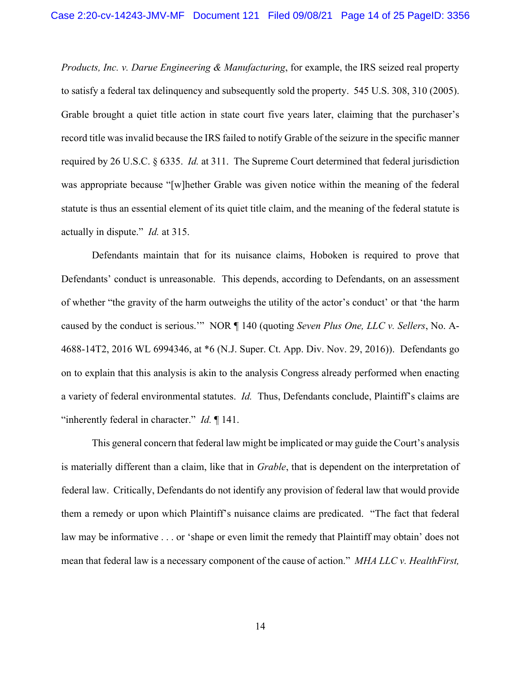*Products, Inc. v. Darue Engineering & Manufacturing*, for example, the IRS seized real property to satisfy a federal tax delinquency and subsequently sold the property. 545 U.S. 308, 310 (2005). Grable brought a quiet title action in state court five years later, claiming that the purchaser's record title was invalid because the IRS failed to notify Grable of the seizure in the specific manner required by 26 U.S.C. § 6335. *Id.* at 311. The Supreme Court determined that federal jurisdiction was appropriate because "[w]hether Grable was given notice within the meaning of the federal statute is thus an essential element of its quiet title claim, and the meaning of the federal statute is actually in dispute." *Id.* at 315.

Defendants maintain that for its nuisance claims, Hoboken is required to prove that Defendants' conduct is unreasonable. This depends, according to Defendants, on an assessment of whether "the gravity of the harm outweighs the utility of the actor's conduct' or that 'the harm caused by the conduct is serious.'" NOR ¶ 140 (quoting *Seven Plus One, LLC v. Sellers*, No. A-4688-14T2, 2016 WL 6994346, at \*6 (N.J. Super. Ct. App. Div. Nov. 29, 2016)). Defendants go on to explain that this analysis is akin to the analysis Congress already performed when enacting a variety of federal environmental statutes. *Id.* Thus, Defendants conclude, Plaintiff's claims are "inherently federal in character." *Id.* ¶ 141.

This general concern that federal law might be implicated or may guide the Court's analysis is materially different than a claim, like that in *Grable*, that is dependent on the interpretation of federal law. Critically, Defendants do not identify any provision of federal law that would provide them a remedy or upon which Plaintiff's nuisance claims are predicated. "The fact that federal law may be informative . . . or 'shape or even limit the remedy that Plaintiff may obtain' does not mean that federal law is a necessary component of the cause of action." *MHA LLC v. HealthFirst,*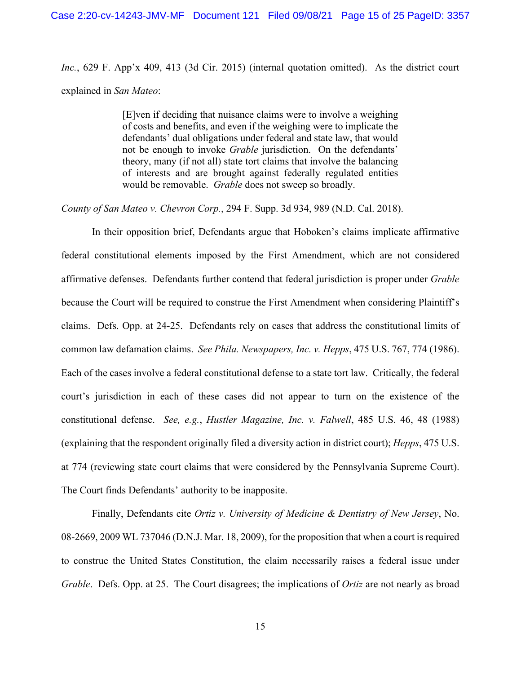*Inc.*, 629 F. App'x 409, 413 (3d Cir. 2015) (internal quotation omitted). As the district court explained in *San Mateo*:

> [E]ven if deciding that nuisance claims were to involve a weighing of costs and benefits, and even if the weighing were to implicate the defendants' dual obligations under federal and state law, that would not be enough to invoke *Grable* jurisdiction. On the defendants' theory, many (if not all) state tort claims that involve the balancing of interests and are brought against federally regulated entities would be removable. *Grable* does not sweep so broadly.

*County of San Mateo v. Chevron Corp.*, 294 F. Supp. 3d 934, 989 (N.D. Cal. 2018).

In their opposition brief, Defendants argue that Hoboken's claims implicate affirmative federal constitutional elements imposed by the First Amendment, which are not considered affirmative defenses. Defendants further contend that federal jurisdiction is proper under *Grable* because the Court will be required to construe the First Amendment when considering Plaintiff's claims. Defs. Opp. at 24-25. Defendants rely on cases that address the constitutional limits of common law defamation claims. *See Phila. Newspapers, Inc. v. Hepps*, 475 U.S. 767, 774 (1986). Each of the cases involve a federal constitutional defense to a state tort law. Critically, the federal court's jurisdiction in each of these cases did not appear to turn on the existence of the constitutional defense. *See, e.g.*, *Hustler Magazine, Inc. v. Falwell*, 485 U.S. 46, 48 (1988) (explaining that the respondent originally filed a diversity action in district court); *Hepps*, 475 U.S. at 774 (reviewing state court claims that were considered by the Pennsylvania Supreme Court). The Court finds Defendants' authority to be inapposite.

Finally, Defendants cite *Ortiz v. University of Medicine & Dentistry of New Jersey*, No. 08-2669, 2009 WL 737046 (D.N.J. Mar. 18, 2009), for the proposition that when a court is required to construe the United States Constitution, the claim necessarily raises a federal issue under *Grable*. Defs. Opp. at 25. The Court disagrees; the implications of *Ortiz* are not nearly as broad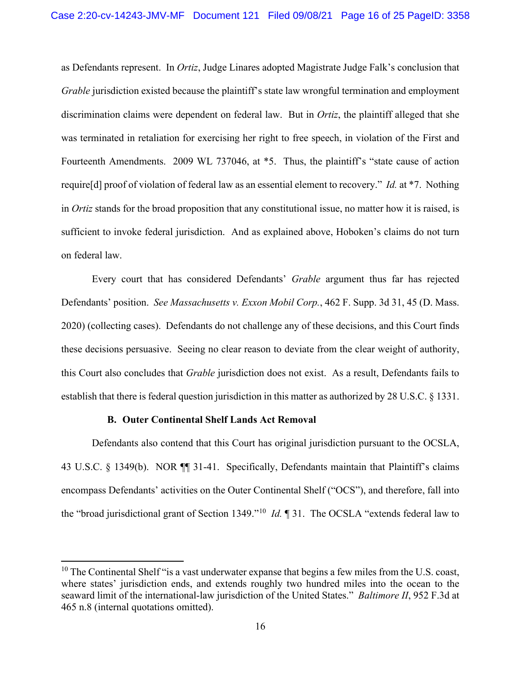as Defendants represent. In *Ortiz*, Judge Linares adopted Magistrate Judge Falk's conclusion that *Grable* jurisdiction existed because the plaintiff's state law wrongful termination and employment discrimination claims were dependent on federal law. But in *Ortiz*, the plaintiff alleged that she was terminated in retaliation for exercising her right to free speech, in violation of the First and Fourteenth Amendments. 2009 WL 737046, at \*5. Thus, the plaintiff's "state cause of action require[d] proof of violation of federal law as an essential element to recovery." *Id.* at \*7. Nothing in *Ortiz* stands for the broad proposition that any constitutional issue, no matter how it is raised, is sufficient to invoke federal jurisdiction. And as explained above, Hoboken's claims do not turn on federal law.

Every court that has considered Defendants' *Grable* argument thus far has rejected Defendants' position. *See Massachusetts v. Exxon Mobil Corp.*, 462 F. Supp. 3d 31, 45 (D. Mass. 2020) (collecting cases). Defendants do not challenge any of these decisions, and this Court finds these decisions persuasive. Seeing no clear reason to deviate from the clear weight of authority, this Court also concludes that *Grable* jurisdiction does not exist. As a result, Defendants fails to establish that there is federal question jurisdiction in this matter as authorized by 28 U.S.C. § 1331.

### **B. Outer Continental Shelf Lands Act Removal**

Defendants also contend that this Court has original jurisdiction pursuant to the OCSLA, 43 U.S.C. § 1349(b). NOR ¶¶ 31-41. Specifically, Defendants maintain that Plaintiff's claims encompass Defendants' activities on the Outer Continental Shelf ("OCS"), and therefore, fall into the "broad jurisdictional grant of Section 1349."[10](#page-15-0) *Id.* ¶ 31. The OCSLA "extends federal law to

<span id="page-15-0"></span> $10$  The Continental Shelf "is a vast underwater expanse that begins a few miles from the U.S. coast, where states' jurisdiction ends, and extends roughly two hundred miles into the ocean to the seaward limit of the international-law jurisdiction of the United States." *Baltimore II*, 952 F.3d at 465 n.8 (internal quotations omitted).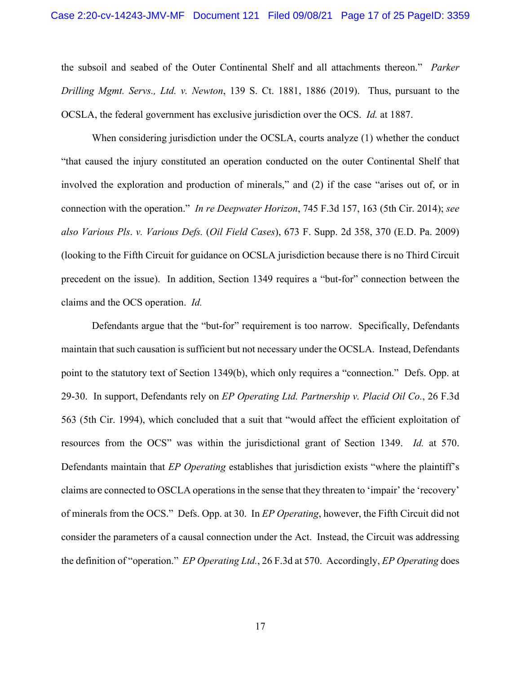the subsoil and seabed of the Outer Continental Shelf and all attachments thereon." *Parker Drilling Mgmt. Servs., Ltd. v. Newton*, 139 S. Ct. 1881, 1886 (2019). Thus, pursuant to the OCSLA, the federal government has exclusive jurisdiction over the OCS. *Id.* at 1887.

When considering jurisdiction under the OCSLA, courts analyze (1) whether the conduct "that caused the injury constituted an operation conducted on the outer Continental Shelf that involved the exploration and production of minerals," and (2) if the case "arises out of, or in connection with the operation." *In re Deepwater Horizon*, 745 F.3d 157, 163 (5th Cir. 2014); *see also Various Pls*. *v. Various Defs.* (*Oil Field Cases*), 673 F. Supp. 2d 358, 370 (E.D. Pa. 2009) (looking to the Fifth Circuit for guidance on OCSLA jurisdiction because there is no Third Circuit precedent on the issue). In addition, Section 1349 requires a "but-for" connection between the claims and the OCS operation. *Id.*

Defendants argue that the "but-for" requirement is too narrow. Specifically, Defendants maintain that such causation is sufficient but not necessary under the OCSLA. Instead, Defendants point to the statutory text of Section 1349(b), which only requires a "connection." Defs. Opp. at 29-30. In support, Defendants rely on *EP Operating Ltd. Partnership v. Placid Oil Co.*, 26 F.3d 563 (5th Cir. 1994), which concluded that a suit that "would affect the efficient exploitation of resources from the OCS" was within the jurisdictional grant of Section 1349. *Id.* at 570. Defendants maintain that *EP Operating* establishes that jurisdiction exists "where the plaintiff's claims are connected to OSCLA operations in the sense that they threaten to 'impair' the 'recovery' of minerals from the OCS." Defs. Opp. at 30. In *EP Operating*, however, the Fifth Circuit did not consider the parameters of a causal connection under the Act. Instead, the Circuit was addressing the definition of "operation." *EP Operating Ltd.*, 26 F.3d at 570. Accordingly, *EP Operating* does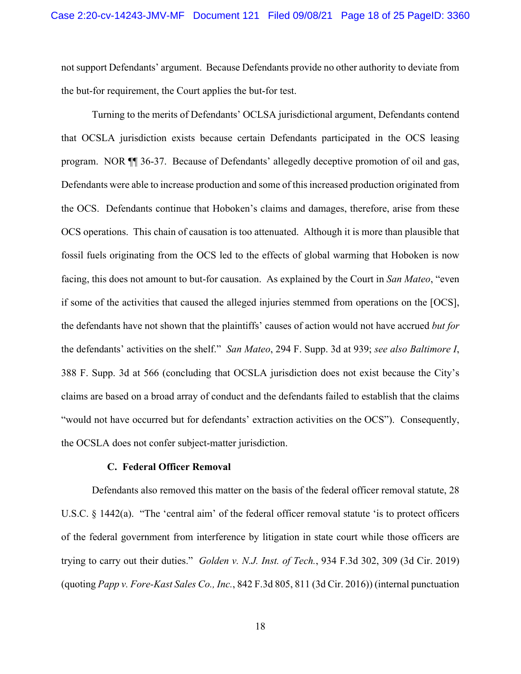not support Defendants' argument. Because Defendants provide no other authority to deviate from the but-for requirement, the Court applies the but-for test.

Turning to the merits of Defendants' OCLSA jurisdictional argument, Defendants contend that OCSLA jurisdiction exists because certain Defendants participated in the OCS leasing program. NOR ¶¶ 36-37. Because of Defendants' allegedly deceptive promotion of oil and gas, Defendants were able to increase production and some of this increased production originated from the OCS. Defendants continue that Hoboken's claims and damages, therefore, arise from these OCS operations. This chain of causation is too attenuated. Although it is more than plausible that fossil fuels originating from the OCS led to the effects of global warming that Hoboken is now facing, this does not amount to but-for causation. As explained by the Court in *San Mateo*, "even if some of the activities that caused the alleged injuries stemmed from operations on the [OCS], the defendants have not shown that the plaintiffs' causes of action would not have accrued *but for* the defendants' activities on the shelf." *San Mateo*, 294 F. Supp. 3d at 939; *see also Baltimore I*, 388 F. Supp. 3d at 566 (concluding that OCSLA jurisdiction does not exist because the City's claims are based on a broad array of conduct and the defendants failed to establish that the claims "would not have occurred but for defendants' extraction activities on the OCS"). Consequently, the OCSLA does not confer subject-matter jurisdiction.

## **C. Federal Officer Removal**

Defendants also removed this matter on the basis of the federal officer removal statute, 28 U.S.C. § 1442(a). "The 'central aim' of the federal officer removal statute 'is to protect officers of the federal government from interference by litigation in state court while those officers are trying to carry out their duties." *Golden v. N.J. Inst. of Tech.*, 934 F.3d 302, 309 (3d Cir. 2019) (quoting *Papp v. Fore-Kast Sales Co., Inc.*, 842 F.3d 805, 811 (3d Cir. 2016)) (internal punctuation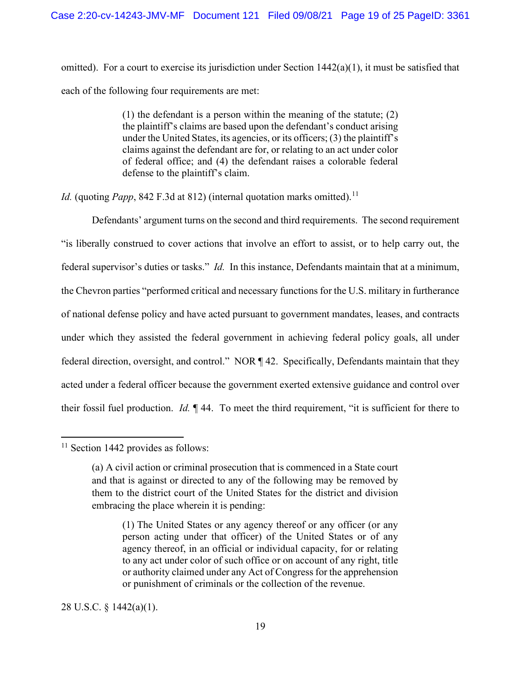omitted). For a court to exercise its jurisdiction under Section  $1442(a)(1)$ , it must be satisfied that each of the following four requirements are met:

> (1) the defendant is a person within the meaning of the statute; (2) the plaintiff's claims are based upon the defendant's conduct arising under the United States, its agencies, or its officers; (3) the plaintiff's claims against the defendant are for, or relating to an act under color of federal office; and (4) the defendant raises a colorable federal defense to the plaintiff's claim.

*Id.* (quoting *Papp*, 842 F.3d at 812) (internal quotation marks omitted).<sup>[11](#page-18-0)</sup>

Defendants' argument turns on the second and third requirements. The second requirement "is liberally construed to cover actions that involve an effort to assist, or to help carry out, the federal supervisor's duties or tasks." *Id.* In this instance, Defendants maintain that at a minimum, the Chevron parties "performed critical and necessary functions for the U.S. military in furtherance of national defense policy and have acted pursuant to government mandates, leases, and contracts under which they assisted the federal government in achieving federal policy goals, all under federal direction, oversight, and control." NOR ¶ 42. Specifically, Defendants maintain that they acted under a federal officer because the government exerted extensive guidance and control over their fossil fuel production. *Id.* ¶ 44. To meet the third requirement, "it is sufficient for there to

28 U.S.C. § 1442(a)(1).

<span id="page-18-0"></span> $11$  Section 1442 provides as follows:

<sup>(</sup>a) A civil action or criminal prosecution that is commenced in a State court and that is against or directed to any of the following may be removed by them to the district court of the United States for the district and division embracing the place wherein it is pending:

<sup>(1)</sup> The United States or any agency thereof or any officer (or any person acting under that officer) of the United States or of any agency thereof, in an official or individual capacity, for or relating to any act under color of such office or on account of any right, title or authority claimed under any Act of Congress for the apprehension or punishment of criminals or the collection of the revenue.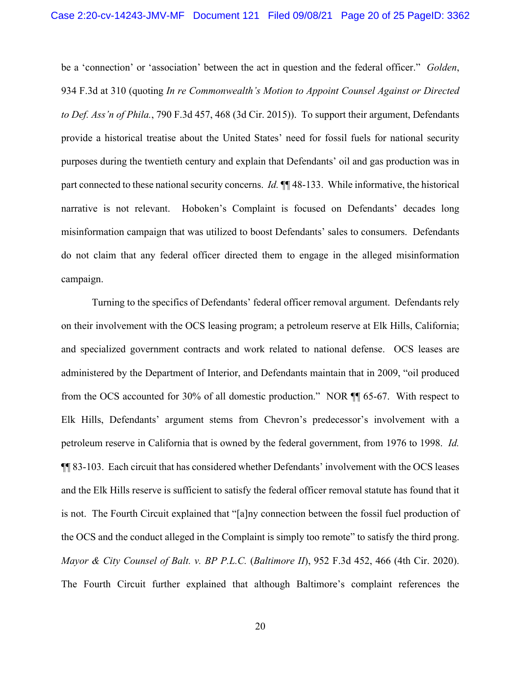be a 'connection' or 'association' between the act in question and the federal officer." *Golden*, 934 F.3d at 310 (quoting *In re Commonwealth's Motion to Appoint Counsel Against or Directed to Def. Ass'n of Phila.*, 790 F.3d 457, 468 (3d Cir. 2015)). To support their argument, Defendants provide a historical treatise about the United States' need for fossil fuels for national security purposes during the twentieth century and explain that Defendants' oil and gas production was in part connected to these national security concerns. *Id.* ¶¶ 48-133. While informative, the historical narrative is not relevant. Hoboken's Complaint is focused on Defendants' decades long misinformation campaign that was utilized to boost Defendants' sales to consumers. Defendants do not claim that any federal officer directed them to engage in the alleged misinformation campaign.

Turning to the specifics of Defendants' federal officer removal argument. Defendants rely on their involvement with the OCS leasing program; a petroleum reserve at Elk Hills, California; and specialized government contracts and work related to national defense. OCS leases are administered by the Department of Interior, and Defendants maintain that in 2009, "oil produced from the OCS accounted for 30% of all domestic production." NOR ¶¶ 65-67. With respect to Elk Hills, Defendants' argument stems from Chevron's predecessor's involvement with a petroleum reserve in California that is owned by the federal government, from 1976 to 1998. *Id.* ¶¶ 83-103. Each circuit that has considered whether Defendants' involvement with the OCS leases and the Elk Hills reserve is sufficient to satisfy the federal officer removal statute has found that it is not. The Fourth Circuit explained that "[a]ny connection between the fossil fuel production of the OCS and the conduct alleged in the Complaint is simply too remote" to satisfy the third prong. *Mayor & City Counsel of Balt. v. BP P.L.C.* (*Baltimore II*), 952 F.3d 452, 466 (4th Cir. 2020). The Fourth Circuit further explained that although Baltimore's complaint references the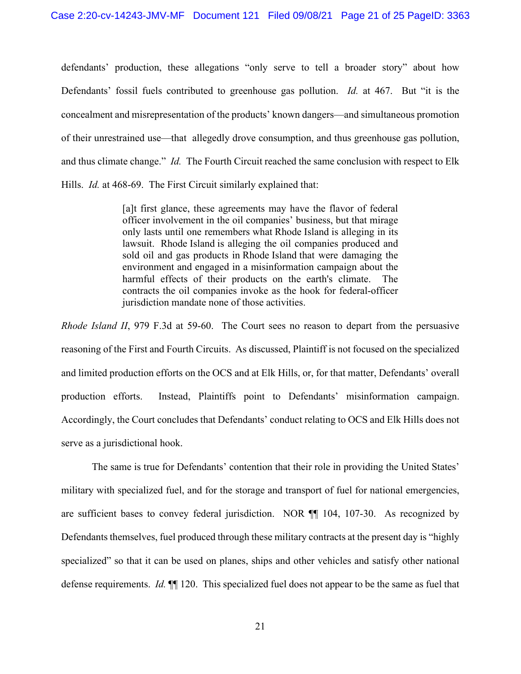defendants' production, these allegations "only serve to tell a broader story" about how Defendants' fossil fuels contributed to greenhouse gas pollution. *Id.* at 467. But "it is the concealment and misrepresentation of the products' known dangers—and simultaneous promotion of their unrestrained use—that allegedly drove consumption, and thus greenhouse gas pollution, and thus climate change." *Id.* The Fourth Circuit reached the same conclusion with respect to Elk Hills. *Id.* at 468-69. The First Circuit similarly explained that:

> [a]t first glance, these agreements may have the flavor of federal officer involvement in the oil companies' business, but that mirage only lasts until one remembers what Rhode Island is alleging in its lawsuit. Rhode Island is alleging the oil companies produced and sold oil and gas products in Rhode Island that were damaging the environment and engaged in a misinformation campaign about the harmful effects of their products on the earth's climate. contracts the oil companies invoke as the hook for federal-officer jurisdiction mandate none of those activities.

*Rhode Island II*, 979 F.3d at 59-60. The Court sees no reason to depart from the persuasive reasoning of the First and Fourth Circuits. As discussed, Plaintiff is not focused on the specialized and limited production efforts on the OCS and at Elk Hills, or, for that matter, Defendants' overall production efforts. Instead, Plaintiffs point to Defendants' misinformation campaign. Accordingly, the Court concludes that Defendants' conduct relating to OCS and Elk Hills does not serve as a jurisdictional hook.

The same is true for Defendants' contention that their role in providing the United States' military with specialized fuel, and for the storage and transport of fuel for national emergencies, are sufficient bases to convey federal jurisdiction. NOR ¶¶ 104, 107-30. As recognized by Defendants themselves, fuel produced through these military contracts at the present day is "highly specialized" so that it can be used on planes, ships and other vehicles and satisfy other national defense requirements. *Id.* ¶¶ 120. This specialized fuel does not appear to be the same as fuel that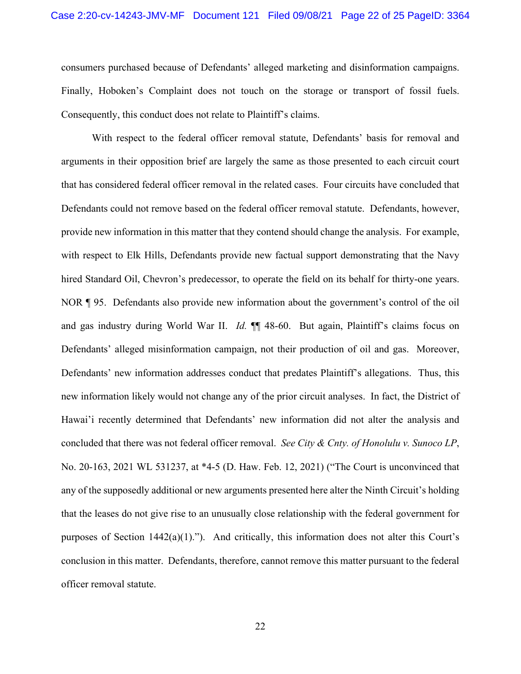consumers purchased because of Defendants' alleged marketing and disinformation campaigns. Finally, Hoboken's Complaint does not touch on the storage or transport of fossil fuels. Consequently, this conduct does not relate to Plaintiff's claims.

With respect to the federal officer removal statute, Defendants' basis for removal and arguments in their opposition brief are largely the same as those presented to each circuit court that has considered federal officer removal in the related cases. Four circuits have concluded that Defendants could not remove based on the federal officer removal statute. Defendants, however, provide new information in this matter that they contend should change the analysis. For example, with respect to Elk Hills, Defendants provide new factual support demonstrating that the Navy hired Standard Oil, Chevron's predecessor, to operate the field on its behalf for thirty-one years. NOR ¶ 95. Defendants also provide new information about the government's control of the oil and gas industry during World War II. *Id.* ¶¶ 48-60. But again, Plaintiff's claims focus on Defendants' alleged misinformation campaign, not their production of oil and gas. Moreover, Defendants' new information addresses conduct that predates Plaintiff's allegations. Thus, this new information likely would not change any of the prior circuit analyses. In fact, the District of Hawai'i recently determined that Defendants' new information did not alter the analysis and concluded that there was not federal officer removal. *See City & Cnty. of Honolulu v. Sunoco LP*, No. 20-163, 2021 WL 531237, at \*4-5 (D. Haw. Feb. 12, 2021) ("The Court is unconvinced that any of the supposedly additional or new arguments presented here alter the Ninth Circuit's holding that the leases do not give rise to an unusually close relationship with the federal government for purposes of Section 1442(a)(1)."). And critically, this information does not alter this Court's conclusion in this matter. Defendants, therefore, cannot remove this matter pursuant to the federal officer removal statute.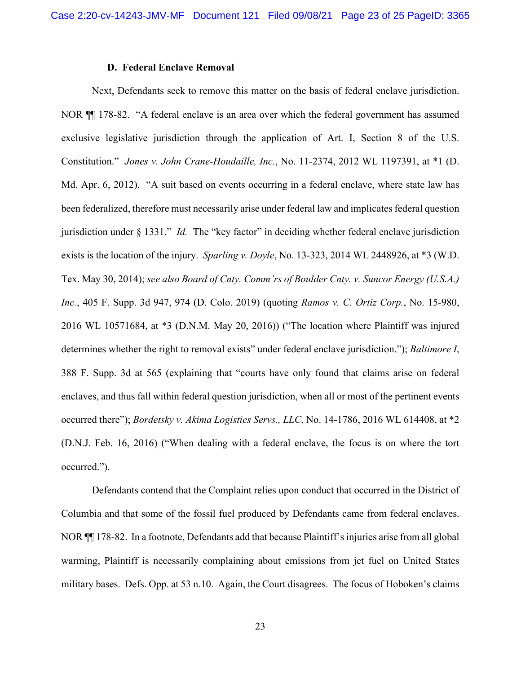#### **D. Federal Enclave Removal**

Next, Defendants seek to remove this matter on the basis of federal enclave jurisdiction. NOR ¶¶ 178-82. "A federal enclave is an area over which the federal government has assumed exclusive legislative jurisdiction through the application of Art. I, Section 8 of the U.S. Constitution." *Jones v. John Crane-Houdaille, Inc.*, No. 11-2374, 2012 WL 1197391, at \*1 (D. Md. Apr. 6, 2012). "A suit based on events occurring in a federal enclave, where state law has been federalized, therefore must necessarily arise under federal law and implicates federal question jurisdiction under § 1331." *Id.* The "key factor" in deciding whether federal enclave jurisdiction exists is the location of the injury. *Sparling v. Doyle*, No. 13-323, 2014 WL 2448926, at \*3 (W.D. Tex. May 30, 2014); *see also Board of Cnty. Comm'rs of Boulder Cnty. v. Suncor Energy (U.S.A.) Inc.*, 405 F. Supp. 3d 947, 974 (D. Colo. 2019) (quoting *Ramos v. C. Ortiz Corp.*, No. 15-980, 2016 WL 10571684, at \*3 (D.N.M. May 20, 2016)) ("The location where Plaintiff was injured determines whether the right to removal exists" under federal enclave jurisdiction."); *Baltimore I*, 388 F. Supp. 3d at 565 (explaining that "courts have only found that claims arise on federal enclaves, and thus fall within federal question jurisdiction, when all or most of the pertinent events occurred there"); *Bordetsky v. Akima Logistics Servs., LLC*, No. 14-1786, 2016 WL 614408, at \*2 (D.N.J. Feb. 16, 2016) ("When dealing with a federal enclave, the focus is on where the tort occurred.").

Defendants contend that the Complaint relies upon conduct that occurred in the District of Columbia and that some of the fossil fuel produced by Defendants came from federal enclaves. NOR ¶¶ 178-82. In a footnote, Defendants add that because Plaintiff's injuries arise from all global warming, Plaintiff is necessarily complaining about emissions from jet fuel on United States military bases. Defs. Opp. at 53 n.10. Again, the Court disagrees. The focus of Hoboken's claims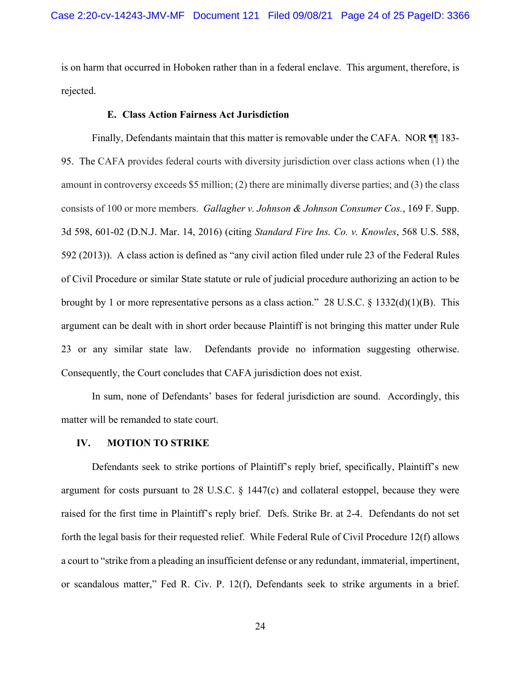is on harm that occurred in Hoboken rather than in a federal enclave. This argument, therefore, is rejected.

#### **E. Class Action Fairness Act Jurisdiction**

Finally, Defendants maintain that this matter is removable under the CAFA. NOR  $\P$  183-95. The CAFA provides federal courts with diversity jurisdiction over class actions when (1) the amount in controversy exceeds \$5 million; (2) there are minimally diverse parties; and (3) the class consists of 100 or more members. *Gallagher v. Johnson & Johnson Consumer Cos.*, 169 F. Supp. 3d 598, 601-02 (D.N.J. Mar. 14, 2016) (citing *Standard Fire Ins. Co. v. Knowles*, 568 U.S. 588, 592 (2013)). A class action is defined as "any civil action filed under rule 23 of the Federal Rules of Civil Procedure or similar State statute or rule of judicial procedure authorizing an action to be brought by 1 or more representative persons as a class action." 28 U.S.C.  $\S$  1332(d)(1)(B). This argument can be dealt with in short order because Plaintiff is not bringing this matter under Rule 23 or any similar state law. Defendants provide no information suggesting otherwise. Consequently, the Court concludes that CAFA jurisdiction does not exist.

In sum, none of Defendants' bases for federal jurisdiction are sound. Accordingly, this matter will be remanded to state court.

#### **IV. MOTION TO STRIKE**

Defendants seek to strike portions of Plaintiff's reply brief, specifically, Plaintiff's new argument for costs pursuant to 28 U.S.C. § 1447(c) and collateral estoppel, because they were raised for the first time in Plaintiff's reply brief. Defs. Strike Br. at 2-4. Defendants do not set forth the legal basis for their requested relief. While Federal Rule of Civil Procedure 12(f) allows a court to "strike from a pleading an insufficient defense or any redundant, immaterial, impertinent, or scandalous matter," Fed R. Civ. P. 12(f), Defendants seek to strike arguments in a brief.